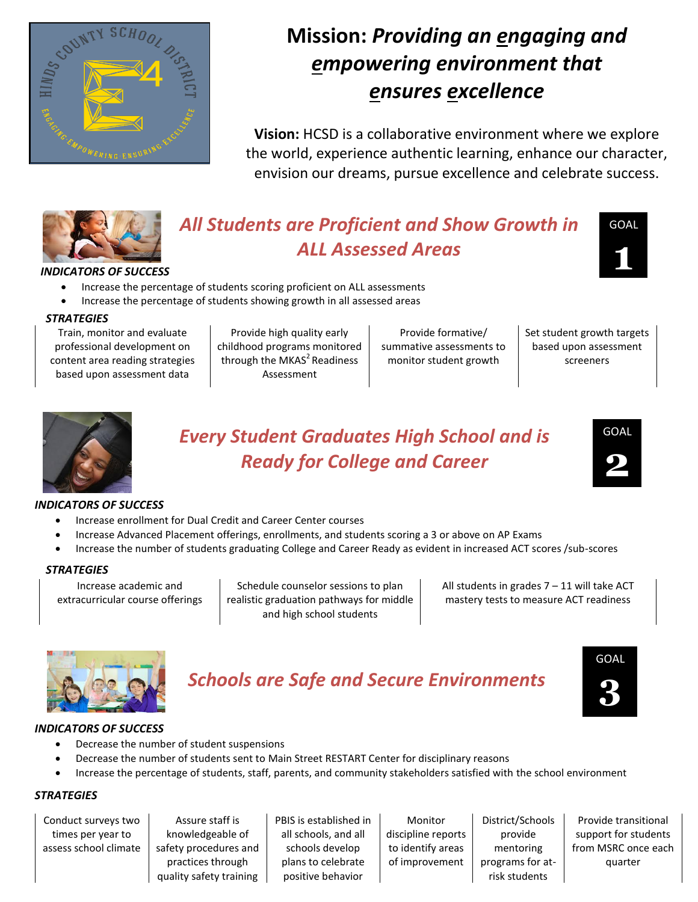

# **Mission:** *Providing an engaging and empowering environment that ensures excellence*

**Vision:** HCSD is a collaborative environment where we explore the world, experience authentic learning, enhance our character, envision our dreams, pursue excellence and celebrate success.



# *All Students are Proficient and Show Growth in ALL Assessed Areas*



## *INDICATORS OF SUCCESS*

- Increase the percentage of students scoring proficient on ALL assessments
- Increase the percentage of students showing growth in all assessed areas

#### *STRATEGIES*

Train, monitor and evaluate professional development on content area reading strategies based upon assessment data

Provide high quality early childhood programs monitored through the MKAS $2$ Readiness Assessment

Provide formative/ summative assessments to monitor student growth

Set student growth targets based upon assessment screeners



# *Every Student Graduates High School and is Ready for College and Career*



### *INDICATORS OF SUCCESS*

- Increase enrollment for Dual Credit and Career Center courses
- Increase Advanced Placement offerings, enrollments, and students scoring a 3 or above on AP Exams
- Increase the number of students graduating College and Career Ready as evident in increased ACT scores /sub-scores

### *STRATEGIES*

Increase academic and extracurricular course offerings

Schedule counselor sessions to plan realistic graduation pathways for middle and high school students

All students in grades  $7 - 11$  will take ACT mastery tests to measure ACT readiness



# *Schools are Safe and Secure Environments*



## *INDICATORS OF SUCCESS*

- Decrease the number of student suspensions
- Decrease the number of students sent to Main Street RESTART Center for disciplinary reasons
- Increase the percentage of students, staff, parents, and community stakeholders satisfied with the school environment

## *STRATEGIES*

Conduct surveys two times per year to assess school climate

Assure staff is knowledgeable of safety procedures and practices through quality safety training PBIS is established in all schools, and all schools develop plans to celebrate positive behavior

Monitor discipline reports to identify areas of improvement

District/Schools provide mentoring programs for atrisk students

Provide transitional support for students from MSRC once each quarter